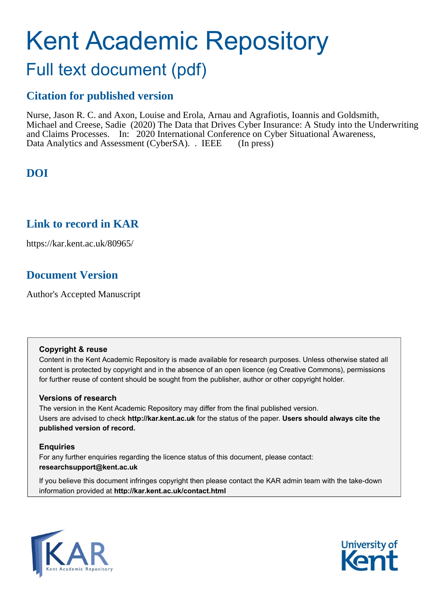# Kent Academic Repository

# Full text document (pdf)

### **Citation for published version**

Nurse, Jason R. C. and Axon, Louise and Erola, Arnau and Agrafiotis, Ioannis and Goldsmith, Michael and Creese, Sadie (2020) The Data that Drives Cyber Insurance: A Study into the Underwriting and Claims Processes. In: 2020 International Conference on Cyber Situational Awareness, Data Analytics and Assessment (CyberSA). . IEEE (In press)

# **DOI**

### **Link to record in KAR**

https://kar.kent.ac.uk/80965/

# **Document Version**

Author's Accepted Manuscript

#### **Copyright & reuse**

Content in the Kent Academic Repository is made available for research purposes. Unless otherwise stated all content is protected by copyright and in the absence of an open licence (eg Creative Commons), permissions for further reuse of content should be sought from the publisher, author or other copyright holder.

#### **Versions of research**

The version in the Kent Academic Repository may differ from the final published version. Users are advised to check **http://kar.kent.ac.uk** for the status of the paper. **Users should always cite the published version of record.**

#### **Enquiries**

For any further enquiries regarding the licence status of this document, please contact: **researchsupport@kent.ac.uk**

If you believe this document infringes copyright then please contact the KAR admin team with the take-down information provided at **http://kar.kent.ac.uk/contact.html**



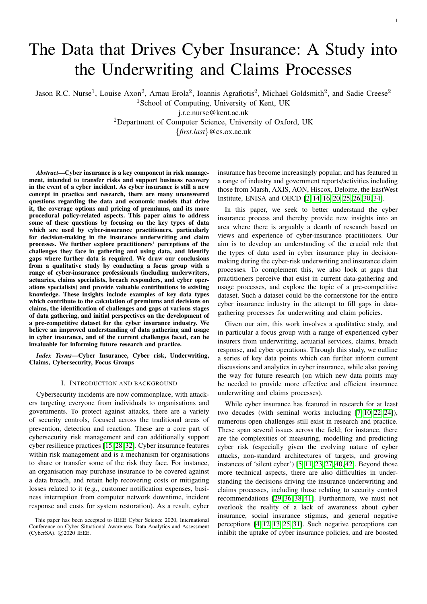# The Data that Drives Cyber Insurance: A Study into the Underwriting and Claims Processes

Jason R.C. Nurse<sup>1</sup>, Louise Axon<sup>2</sup>, Arnau Erola<sup>2</sup>, Ioannis Agrafiotis<sup>2</sup>, Michael Goldsmith<sup>2</sup>, and Sadie Creese<sup>2</sup>

<sup>1</sup>School of Computing, University of Kent, UK

j.r.c.nurse@kent.ac.uk

<sup>2</sup>Department of Computer Science, University of Oxford, UK

{*first.last*}@cs.ox.ac.uk

*Abstract*—Cyber insurance is a key component in risk management, intended to transfer risks and support business recovery in the event of a cyber incident. As cyber insurance is still a new concept in practice and research, there are many unanswered questions regarding the data and economic models that drive it, the coverage options and pricing of premiums, and its more procedural policy-related aspects. This paper aims to address some of these questions by focusing on the key types of data which are used by cyber-insurance practitioners, particularly for decision-making in the insurance underwriting and claim processes. We further explore practitioners' perceptions of the challenges they face in gathering and using data, and identify gaps where further data is required. We draw our conclusions from a qualitative study by conducting a focus group with a range of cyber-insurance professionals (including underwriters, actuaries, claims specialists, breach responders, and cyber operations specialists) and provide valuable contributions to existing knowledge. These insights include examples of key data types which contribute to the calculation of premiums and decisions on claims, the identification of challenges and gaps at various stages of data gathering, and initial perspectives on the development of a pre-competitive dataset for the cyber insurance industry. We believe an improved understanding of data gathering and usage in cyber insurance, and of the current challenges faced, can be invaluable for informing future research and practice.

*Index Terms*—Cyber Insurance, Cyber risk, Underwriting, Claims, Cybersecurity, Focus Groups

#### I. INTRODUCTION AND BACKGROUND

Cybersecurity incidents are now commonplace, with attackers targeting everyone from individuals to organisations and governments. To protect against attacks, there are a variety of security controls, focused across the traditional areas of prevention, detection and reaction. These are a core part of cybersecurity risk management and can additionally support cyber resilience practices [15, 28, 32]. Cyber insurance features within risk management and is a mechanism for organisations to share or transfer some of the risk they face. For instance, an organisation may purchase insurance to be covered against a data breach, and retain help recovering costs or mitigating losses related to it (e.g., customer notification expenses, business interruption from computer network downtime, incident response and costs for system restoration). As a result, cyber

insurance has become increasingly popular, and has featured in a range of industry and government reports/activities including those from Marsh, AXIS, AON, Hiscox, Deloitte, the EastWest Institute, ENISA and OECD [2, 14, 16, 20, 25, 26, 30, 34].

In this paper, we seek to better understand the cyber insurance process and thereby provide new insights into an area where there is arguably a dearth of research based on views and experience of cyber-insurance practitioners. Our aim is to develop an understanding of the crucial role that the types of data used in cyber insurance play in decisionmaking during the cyber-risk underwriting and insurance claim processes. To complement this, we also look at gaps that practitioners perceive that exist in current data-gathering and usage processes, and explore the topic of a pre-competitive dataset. Such a dataset could be the cornerstone for the entire cyber insurance industry in the attempt to fill gaps in datagathering processes for underwriting and claim policies.

Given our aim, this work involves a qualitative study, and in particular a focus group with a range of experienced cyber insurers from underwriting, actuarial services, claims, breach response, and cyber operations. Through this study, we outline a series of key data points which can further inform current discussions and analytics in cyber insurance, while also paving the way for future research (on which new data points may be needed to provide more effective and efficient insurance underwriting and claims processes).

While cyber insurance has featured in research for at least two decades (with seminal works including [7, 10, 22, 24]), numerous open challenges still exist in research and practice. These span several issues across the field; for instance, there are the complexities of measuring, modelling and predicting cyber risk (especially given the evolving nature of cyber attacks, non-standard architectures of targets, and growing instances of 'silent cyber') [5, 11, 23, 27, 40, 42]. Beyond those more technical aspects, there are also difficulties in understanding the decisions driving the insurance underwriting and claims processes, including those relating to security control recommendations [29, 36, 38, 41]. Furthermore, we must not overlook the reality of a lack of awareness about cyber insurance, social insurance stigmas, and general negative perceptions [4, 12, 13, 25, 31]. Such negative perceptions can inhibit the uptake of cyber insurance policies, and are boosted

This paper has been accepted to IEEE Cyber Science 2020, International Conference on Cyber Situational Awareness, Data Analytics and Assessment (CyberSA). ©2020 IEEE.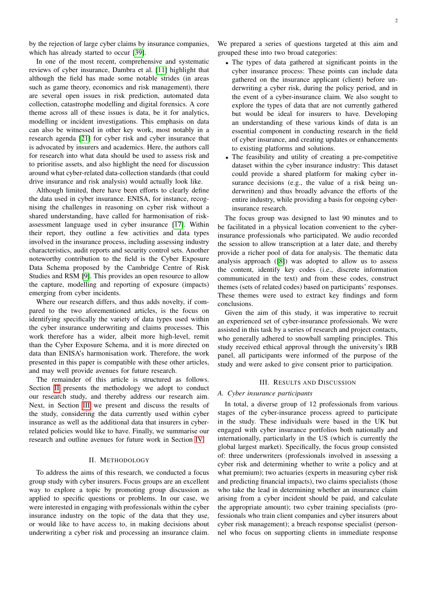by the rejection of large cyber claims by insurance companies, which has already started to occur [39].

In one of the most recent, comprehensive and systematic reviews of cyber insurance, Dambra et al. [11] highlight that although the field has made some notable strides (in areas such as game theory, economics and risk management), there are several open issues in risk prediction, automated data collection, catastrophe modelling and digital forensics. A core theme across all of these issues is data, be it for analytics, modelling or incident investigations. This emphasis on data can also be witnessed in other key work, most notably in a research agenda [21] for cyber risk and cyber insurance that is advocated by insurers and academics. Here, the authors call for research into what data should be used to assess risk and to prioritise assets, and also highlight the need for discussion around what cyber-related data-collection standards (that could drive insurance and risk analysis) would actually look like.

Although limited, there have been efforts to clearly define the data used in cyber insurance. ENISA, for instance, recognising the challenges in reasoning on cyber risk without a shared understanding, have called for harmonisation of riskassessment language used in cyber insurance [17]. Within their report, they outline a few activities and data types involved in the insurance process, including assessing industry characteristics, audit reports and security control sets. Another noteworthy contribution to the field is the Cyber Exposure Data Schema proposed by the Cambridge Centre of Risk Studies and RSM [9]. This provides an open resource to allow the capture, modelling and reporting of exposure (impacts) emerging from cyber incidents.

Where our research differs, and thus adds novelty, if compared to the two aforementioned articles, is the focus on identifying specifically the variety of data types used within the cyber insurance underwriting and claims processes. This work therefore has a wider, albeit more high-level, remit than the Cyber Exposure Schema, and it is more directed on data than ENISA's harmonisation work. Therefore, the work presented in this paper is compatible with these other articles, and may well provide avenues for future research.

The remainder of this article is structured as follows. Section II presents the methodology we adopt to conduct our research study, and thereby address our research aim. Next, in Section III we present and discuss the results of the study, considering the data currently used within cyber insurance as well as the additional data that insurers in cyberrelated policies would like to have. Finally, we summarise our research and outline avenues for future work in Section IV.

#### II. METHODOLOGY

To address the aims of this research, we conducted a focus group study with cyber insurers. Focus groups are an excellent way to explore a topic by promoting group discussion as applied to specific questions or problems. In our case, we were interested in engaging with professionals within the cyber insurance industry on the topic of the data that they use, or would like to have access to, in making decisions about underwriting a cyber risk and processing an insurance claim. We prepared a series of questions targeted at this aim and grouped these into two broad categories:

- The types of data gathered at significant points in the cyber insurance process: These points can include data gathered on the insurance applicant (client) before underwriting a cyber risk, during the policy period, and in the event of a cyber-insurance claim. We also sought to explore the types of data that are not currently gathered but would be ideal for insurers to have. Developing an understanding of these various kinds of data is an essential component in conducting research in the field of cyber insurance, and creating updates or enhancements to existing platforms and solutions.
- The feasibility and utility of creating a pre-competitive dataset within the cyber insurance industry: This dataset could provide a shared platform for making cyber insurance decisions (e.g., the value of a risk being underwritten) and thus broadly advance the efforts of the entire industry, while providing a basis for ongoing cyberinsurance research.

The focus group was designed to last 90 minutes and to be facilitated in a physical location convenient to the cyberinsurance professionals who participated. We audio recorded the session to allow transcription at a later date, and thereby provide a richer pool of data for analysis. The thematic data analysis approach ([8]) was adopted to allow us to assess the content, identify key codes (i.e., discrete information communicated in the text) and from these codes, construct themes (sets of related codes) based on participants' responses. These themes were used to extract key findings and form conclusions.

Given the aim of this study, it was imperative to recruit an experienced set of cyber-insurance professionals. We were assisted in this task by a series of research and project contacts, who generally adhered to snowball sampling principles. This study received ethical approval through the university's IRB panel, all participants were informed of the purpose of the study and were asked to give consent prior to participation.

#### III. RESULTS AND DISCUSSION

#### *A. Cyber insurance participants*

In total, a diverse group of 12 professionals from various stages of the cyber-insurance process agreed to participate in the study. These individuals were based in the UK but engaged with cyber insurance portfolios both nationally and internationally, particularly in the US (which is currently the global largest market). Specifically, the focus group consisted of: three underwriters (professionals involved in assessing a cyber risk and determining whether to write a policy and at what premium); two actuaries (experts in measuring cyber risk and predicting financial impacts), two claims specialists (those who take the lead in determining whether an insurance claim arising from a cyber incident should be paid, and calculate the appropriate amount); two cyber training specialists (professionals who train client companies and cyber insurers about cyber risk management); a breach response specialist (personnel who focus on supporting clients in immediate response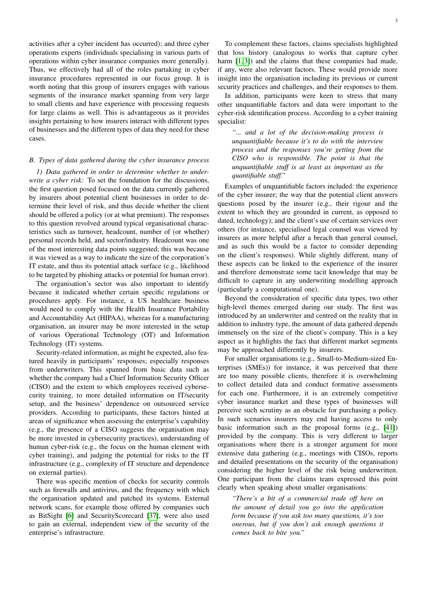activities after a cyber incident has occurred); and three cyber operations experts (individuals specialising in various parts of operations within cyber insurance companies more generally). Thus, we effectively had all of the roles partaking in cyber insurance procedures represented in our focus group. It is worth noting that this group of insurers engages with various segments of the insurance market spanning from very large to small clients and have experience with processing requests for large claims as well. This is advantageous as it provides insights pertaining to how insurers interact with different types of businesses and the different types of data they need for these cases.

#### *B. Types of data gathered during the cyber insurance process*

*1) Data gathered in order to determine whether to underwrite a cyber risk:* To set the foundation for the discussions, the first question posed focused on the data currently gathered by insurers about potential client businesses in order to determine their level of risk, and thus decide whether the client should be offered a policy (or at what premium). The responses to this question revolved around typical organisational characteristics such as turnover, headcount, number of (or whether) personal records held, and sector/industry. Headcount was one of the most interesting data points suggested; this was because it was viewed as a way to indicate the size of the corporation's IT estate, and thus its potential attack surface (e.g., likelihood to be targeted by phishing attacks or potential for human error).

The organisation's sector was also important to identify because it indicated whether certain specific regulations or procedures apply. For instance, a US healthcare business would need to comply with the Health Insurance Portability and Accountability Act (HIPAA), whereas for a manufacturing organisation, an insurer may be more interested in the setup of various Operational Technology (OT) and Information Technology (IT) systems.

Security-related information, as might be expected, also featured heavily in participants' responses; especially responses from underwriters. This spanned from basic data such as whether the company had a Chief Information Security Officer (CISO) and the extent to which employees received cybersecurity training, to more detailed information on IT/security setup, and the business' dependence on outsourced service providers. According to participants, these factors hinted at areas of significance when assessing the enterprise's capability (e.g., the presence of a CISO suggests the organisation may be more invested in cybersecurity practices), understanding of human cyber-risk (e.g., the focus on the human element with cyber training), and judging the potential for risks to the IT infrastructure (e.g., complexity of IT structure and dependence on external parties).

There was specific mention of checks for security controls such as firewalls and antivirus, and the frequency with which the organisation updated and patched its systems. External network scans, for example those offered by companies such as BitSight [6] and SecurityScorecard [37], were also used to gain an external, independent view of the security of the enterprise's infrastructure.

To complement these factors, claims specialists highlighted that loss history (analogous to works that capture cyber harm  $[1, 3]$  and the claims that these companies had made, if any, were also relevant factors. These would provide more insight into the organisation including its previous or current security practices and challenges, and their responses to them.

In addition, participants were keen to stress that many other unquantifiable factors and data were important to the cyber-risk identification process. According to a cyber training specialist:

*"... and a lot of the decision-making process is unquantifiable because it's to do with the interview process and the responses you're getting from the CISO who is responsible. The point is that the unquantifiable stuff is at least as important as the quantifiable stuff."*

Examples of unquantifiable factors included: the experience of the cyber insurer; the way that the potential client answers questions posed by the insurer (e.g., their rigour and the extent to which they are grounded in current, as opposed to dated, technology); and the client's use of certain services over others (for instance, specialised legal counsel was viewed by insurers as more helpful after a breach than general counsel, and as such this would be a factor to consider depending on the client's responses). While slightly different, many of these aspects can be linked to the experience of the insurer and therefore demonstrate some tacit knowledge that may be difficult to capture in any underwriting modelling approach (particularly a computational one).

Beyond the consideration of specific data types, two other high-level themes emerged during our study. The first was introduced by an underwriter and centred on the reality that in addition to industry type, the amount of data gathered depends immensely on the size of the client's company. This is a key aspect as it highlights the fact that different market segments may be approached differently by insurers.

For smaller organisations (e.g., Small-to-Medium-sized Enterprises (SMEs)) for instance, it was perceived that there are too many possible clients, therefore it is overwhelming to collect detailed data and conduct formative assessments for each one. Furthermore, it is an extremely competitive cyber insurance market and these types of businesses will perceive such scrutiny as an obstacle for purchasing a policy. In such scenarios insurers may end having access to only basic information such as the proposal forms (e.g., [41]) provided by the company. This is very different to larger organisations where there is a stronger argument for more extensive data gathering (e.g., meetings with CISOs, reports and detailed presentations on the security of the organisation) considering the higher level of the risk being underwritten. One participant from the claims team expressed this point clearly when speaking about smaller organisations:

*"There's a bit of a commercial trade off here on the amount of detail you go into the application form because if you ask too many questions, it's too onerous, but if you don't ask enough questions it comes back to bite you."*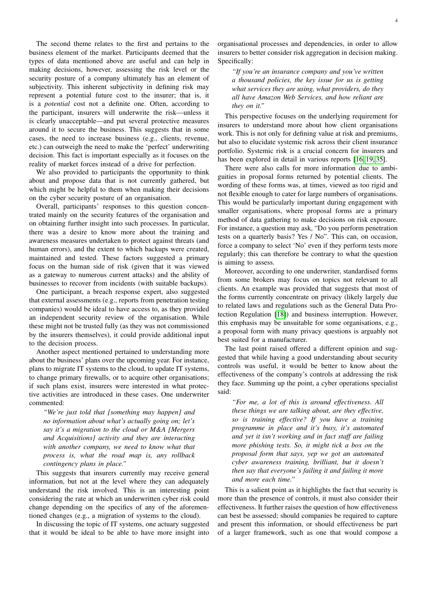The second theme relates to the first and pertains to the business element of the market. Participants deemed that the types of data mentioned above are useful and can help in making decisions, however, assessing the risk level or the security posture of a company ultimately has an element of subjectivity. This inherent subjectivity in defining risk may represent a potential future cost to the insurer; that is, it is a *potential* cost not a definite one. Often, according to the participant, insurers will underwrite the risk—unless it is clearly unacceptable—and put several protective measures around it to secure the business. This suggests that in some cases, the need to increase business (e.g., clients, revenue, etc.) can outweigh the need to make the 'perfect' underwriting decision. This fact is important especially as it focuses on the reality of market forces instead of a drive for perfection.

We also provided to participants the opportunity to think about and propose data that is not currently gathered, but which might be helpful to them when making their decisions on the cyber security posture of an organisation.

Overall, participants' responses to this question concentrated mainly on the security features of the organisation and on obtaining further insight into such processes. In particular, there was a desire to know more about the training and awareness measures undertaken to protect against threats (and human errors), and the extent to which backups were created, maintained and tested. These factors suggested a primary focus on the human side of risk (given that it was viewed as a gateway to numerous current attacks) and the ability of businesses to recover from incidents (with suitable backups).

One participant, a breach response expert, also suggested that external assessments (e.g., reports from penetration testing companies) would be ideal to have access to, as they provided an independent security review of the organisation. While these might not be trusted fully (as they was not commissioned by the insurers themselves), it could provide additional input to the decision process.

Another aspect mentioned pertained to understanding more about the business' plans over the upcoming year. For instance, plans to migrate IT systems to the cloud, to update IT systems, to change primary firewalls, or to acquire other organisations; if such plans exist, insurers were interested in what protective activities are introduced in these cases. One underwriter commented:

*"We're just told that [something may happen] and no information about what's actually going on; let's say it's a migration to the cloud or M&A [Mergers and Acquisitions] activity and they are interacting with another company, we need to know what that process is, what the road map is, any rollback contingency plans in place."*

This suggests that insurers currently may receive general information, but not at the level where they can adequately understand the risk involved. This is an interesting point considering the rate at which an underwritten cyber risk could change depending on the specifics of any of the aforementioned changes (e.g., a migration of systems to the cloud).

In discussing the topic of IT systems, one actuary suggested that it would be ideal to be able to have more insight into organisational processes and dependencies, in order to allow insurers to better consider risk aggregation in decision making. Specifically:

*"If you're an insurance company and you've written a thousand policies, the key issue for us is getting what services they are using, what providers, do they all have Amazon Web Services, and how reliant are they on it."*

This perspective focuses on the underlying requirement for insurers to understand more about how client organisations work. This is not only for defining value at risk and premiums, but also to elucidate systemic risk across their client insurance portfolio. Systemic risk is a crucial concern for insurers and has been explored in detail in various reports [16, 19, 35].

There were also calls for more information due to ambiguities in proposal forms returned by potential clients. The wording of these forms was, at times, viewed as too rigid and not flexible enough to cater for large numbers of organisations. This would be particularly important during engagement with smaller organisations, where proposal forms are a primary method of data gathering to make decisions on risk exposure. For instance, a question may ask, "Do you perform penetration tests on a quarterly basis? Yes / No". This can, on occasion, force a company to select 'No' even if they perform tests more regularly; this can therefore be contrary to what the question is aiming to assess.

Moreover, according to one underwriter, standardised forms from some brokers may focus on topics not relevant to all clients. An example was provided that suggests that most of the forms currently concentrate on privacy (likely largely due to related laws and regulations such as the General Data Protection Regulation [18]) and business interruption. However, this emphasis may be unsuitable for some organisations, e.g., a proposal form with many privacy questions is arguably not best suited for a manufacturer.

The last point raised offered a different opinion and suggested that while having a good understanding about security controls was useful, it would be better to know about the effectiveness of the company's controls at addressing the risk they face. Summing up the point, a cyber operations specialist said:

*"For me, a lot of this is around effectiveness. All these things we are talking about, are they effective, so is training effective? If you have a training programme in place and it's busy, it's automated and yet it isn't working and in fact staff are failing more phishing tests. So, it might tick a box on the proposal form that says, yep we got an automated cyber awareness training, brilliant, but it doesn't then say that everyone's failing it and failing it more and more each time."*

This is a salient point as it highlights the fact that security is more than the presence of controls, it must also consider their effectiveness. It further raises the question of how effectiveness can best be assessed; should companies be required to capture and present this information, or should effectiveness be part of a larger framework, such as one that would compose a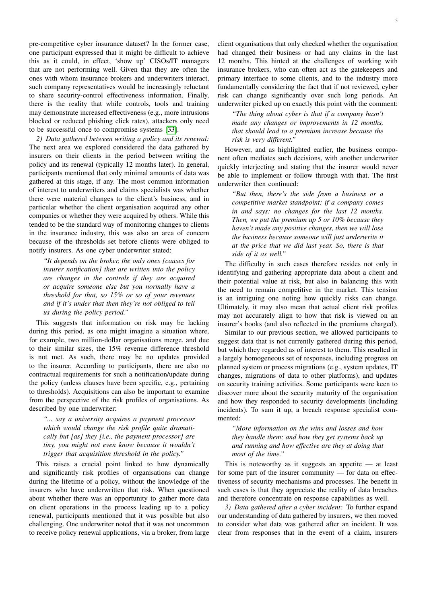pre-competitive cyber insurance dataset? In the former case, one participant expressed that it might be difficult to achieve this as it could, in effect, 'show up' CISOs/IT managers that are not performing well. Given that they are often the ones with whom insurance brokers and underwriters interact, such company representatives would be increasingly reluctant to share security-control effectiveness information. Finally, there is the reality that while controls, tools and training may demonstrate increased effectiveness (e.g., more intrusions blocked or reduced phishing click rates), attackers only need to be successful once to compromise systems [33].

*2) Data gathered between writing a policy and its renewal:* The next area we explored considered the data gathered by insurers on their clients in the period between writing the policy and its renewal (typically 12 months later). In general, participants mentioned that only minimal amounts of data was gathered at this stage, if any. The most common information of interest to underwriters and claims specialists was whether there were material changes to the client's business, and in particular whether the client organisation acquired any other companies or whether they were acquired by others. While this tended to be the standard way of monitoring changes to clients in the insurance industry, this was also an area of concern because of the thresholds set before clients were obliged to notify insurers. As one cyber underwriter stated:

*"It depends on the broker, the only ones [causes for insurer notification] that are written into the policy are changes in the controls if they are acquired or acquire someone else but you normally have a threshold for that, so 15% or so of your revenues and if it's under that then they're not obliged to tell us during the policy period."*

This suggests that information on risk may be lacking during this period, as one might imagine a situation where, for example, two million-dollar organisations merge, and due to their similar sizes, the 15% revenue difference threshold is not met. As such, there may be no updates provided to the insurer. According to participants, there are also no contractual requirements for such a notification/update during the policy (unless clauses have been specific, e.g., pertaining to thresholds). Acquisitions can also be important to examine from the perspective of the risk profiles of organisations. As described by one underwriter:

*"... say a university acquires a payment processor which would change the risk profile quite dramatically but [as] they [i.e., the payment processor] are tiny, you might not even know because it wouldn't trigger that acquisition threshold in the policy."*

This raises a crucial point linked to how dynamically and significantly risk profiles of organisations can change during the lifetime of a policy, without the knowledge of the insurers who have underwritten that risk. When questioned about whether there was an opportunity to gather more data on client operations in the process leading up to a policy renewal, participants mentioned that it was possible but also challenging. One underwriter noted that it was not uncommon to receive policy renewal applications, via a broker, from large

client organisations that only checked whether the organisation had changed their business or had any claims in the last 12 months. This hinted at the challenges of working with insurance brokers, who can often act as the gatekeepers and primary interface to some clients, and to the industry more fundamentally considering the fact that if not reviewed, cyber risk can change significantly over such long periods. An underwriter picked up on exactly this point with the comment:

*"The thing about cyber is that if a company hasn't made any changes or improvements in 12 months, that should lead to a premium increase because the risk is very different."*

However, and as highlighted earlier, the business component often mediates such decisions, with another underwriter quickly interjecting and stating that the insurer would never be able to implement or follow through with that. The first underwriter then continued:

*"But then, there's the side from a business or a competitive market standpoint: if a company comes in and says: no changes for the last 12 months. Then, we put the premium up 5 or 10% because they haven't made any positive changes, then we will lose the business because someone will just underwrite it at the price that we did last year. So, there is that side of it as well."*

The difficulty in such cases therefore resides not only in identifying and gathering appropriate data about a client and their potential value at risk, but also in balancing this with the need to remain competitive in the market. This tension is an intriguing one noting how quickly risks can change. Ultimately, it may also mean that actual client risk profiles may not accurately align to how that risk is viewed on an insurer's books (and also reflected in the premiums charged).

Similar to our previous section, we allowed participants to suggest data that is not currently gathered during this period, but which they regarded as of interest to them. This resulted in a largely homogeneous set of responses, including progress on planned system or process migrations (e.g., system updates, IT changes, migrations of data to other platforms), and updates on security training activities. Some participants were keen to discover more about the security maturity of the organisation and how they responded to security developments (including incidents). To sum it up, a breach response specialist commented:

*"More information on the wins and losses and how they handle them; and how they get systems back up and running and how effective are they at doing that most of the time."*

This is noteworthy as it suggests an appetite — at least for some part of the insurer community — for data on effectiveness of security mechanisms and processes. The benefit in such cases is that they appreciate the reality of data breaches and therefore concentrate on response capabilities as well.

*3) Data gathered after a cyber incident:* To further expand our understanding of data gathered by insurers, we then moved to consider what data was gathered after an incident. It was clear from responses that in the event of a claim, insurers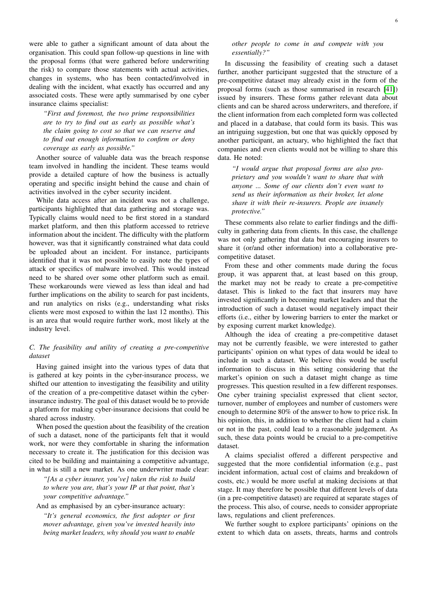were able to gather a significant amount of data about the organisation. This could span follow-up questions in line with the proposal forms (that were gathered before underwriting the risk) to compare those statements with actual activities, changes in systems, who has been contacted/involved in dealing with the incident, what exactly has occurred and any associated costs. These were aptly summarised by one cyber insurance claims specialist:

*"First and foremost, the two prime responsibilities are to try to find out as early as possible what's the claim going to cost so that we can reserve and to find out enough information to confirm or deny coverage as early as possible."*

Another source of valuable data was the breach response team involved in handling the incident. These teams would provide a detailed capture of how the business is actually operating and specific insight behind the cause and chain of activities involved in the cyber security incident.

While data access after an incident was not a challenge, participants highlighted that data gathering and storage was. Typically claims would need to be first stored in a standard market platform, and then this platform accessed to retrieve information about the incident. The difficulty with the platform however, was that it significantly constrained what data could be uploaded about an incident. For instance, participants identified that it was not possible to easily note the types of attack or specifics of malware involved. This would instead need to be shared over some other platform such as email. These workarounds were viewed as less than ideal and had further implications on the ability to search for past incidents, and run analytics on risks (e.g., understanding what risks clients were most exposed to within the last 12 months). This is an area that would require further work, most likely at the industry level.

#### *C. The feasibility and utility of creating a pre-competitive dataset*

Having gained insight into the various types of data that is gathered at key points in the cyber-insurance process, we shifted our attention to investigating the feasibility and utility of the creation of a pre-competitive dataset within the cyberinsurance industry. The goal of this dataset would be to provide a platform for making cyber-insurance decisions that could be shared across industry.

When posed the question about the feasibility of the creation of such a dataset, none of the participants felt that it would work, nor were they comfortable in sharing the information necessary to create it. The justification for this decision was cited to be building and maintaining a competitive advantage, in what is still a new market. As one underwriter made clear:

*"[As a cyber insurer, you've] taken the risk to build to where you are, that's your IP at that point, that's your competitive advantage."*

#### And as emphasised by an cyber-insurance actuary:

*"It's general economics, the first adopter or first mover advantage, given you've invested heavily into being market leaders, why should you want to enable*

#### *other people to come in and compete with you essentially?"*

In discussing the feasibility of creating such a dataset further, another participant suggested that the structure of a pre-competitive dataset may already exist in the form of the proposal forms (such as those summarised in research [41]) issued by insurers. These forms gather relevant data about clients and can be shared across underwriters, and therefore, if the client information from each completed form was collected and placed in a database, that could form its basis. This was an intriguing suggestion, but one that was quickly opposed by another participant, an actuary, who highlighted the fact that companies and even clients would not be willing to share this data. He noted:

*"I would argue that proposal forms are also proprietary and you wouldn't want to share that with anyone ... Some of our clients don't even want to send us their information as their broker, let alone share it with their re-insurers. People are insanely protective."*

These comments also relate to earlier findings and the difficulty in gathering data from clients. In this case, the challenge was not only gathering that data but encouraging insurers to share it (or/and other information) into a collaborative precompetitive dataset.

From these and other comments made during the focus group, it was apparent that, at least based on this group, the market may not be ready to create a pre-competitive dataset. This is linked to the fact that insurers may have invested significantly in becoming market leaders and that the introduction of such a dataset would negatively impact their efforts (i.e., either by lowering barriers to enter the market or by exposing current market knowledge).

Although the idea of creating a pre-competitive dataset may not be currently feasible, we were interested to gather participants' opinion on what types of data would be ideal to include in such a dataset. We believe this would be useful information to discuss in this setting considering that the market's opinion on such a dataset might change as time progresses. This question resulted in a few different responses. One cyber training specialist expressed that client sector, turnover, number of employees and number of customers were enough to determine 80% of the answer to how to price risk. In his opinion, this, in addition to whether the client had a claim or not in the past, could lead to a reasonable judgement. As such, these data points would be crucial to a pre-competitive dataset.

A claims specialist offered a different perspective and suggested that the more confidential information (e.g., past incident information, actual cost of claims and breakdown of costs, etc.) would be more useful at making decisions at that stage. It may therefore be possible that different levels of data (in a pre-competitive dataset) are required at separate stages of the process. This also, of course, needs to consider appropriate laws, regulations and client preferences.

We further sought to explore participants' opinions on the extent to which data on assets, threats, harms and controls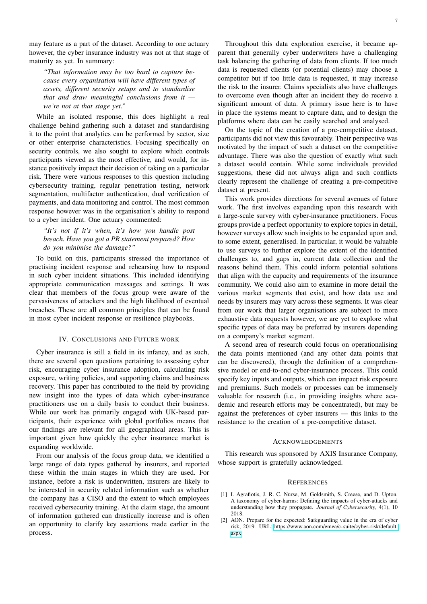may feature as a part of the dataset. According to one actuary however, the cyber insurance industry was not at that stage of maturity as yet. In summary:

*"That information may be too hard to capture because every organisation will have different types of assets, different security setups and to standardise that and draw meaningful conclusions from it we're not at that stage yet."*

While an isolated response, this does highlight a real challenge behind gathering such a dataset and standardising it to the point that analytics can be performed by sector, size or other enterprise characteristics. Focusing specifically on security controls, we also sought to explore which controls participants viewed as the most effective, and would, for instance positively impact their decision of taking on a particular risk. There were various responses to this question including cybersecurity training, regular penetration testing, network segmentation, multifactor authentication, dual verification of payments, and data monitoring and control. The most common response however was in the organisation's ability to respond to a cyber incident. One actuary commented:

#### *"It's not if it's when, it's how you handle post breach. Have you got a PR statement prepared? How do you minimise the damage?"*

To build on this, participants stressed the importance of practising incident response and rehearsing how to respond in such cyber incident situations. This included identifying appropriate communication messages and settings. It was clear that members of the focus group were aware of the pervasiveness of attackers and the high likelihood of eventual breaches. These are all common principles that can be found in most cyber incident response or resilience playbooks.

#### IV. CONCLUSIONS AND FUTURE WORK

Cyber insurance is still a field in its infancy, and as such, there are several open questions pertaining to assessing cyber risk, encouraging cyber insurance adoption, calculating risk exposure, writing policies, and supporting claims and business recovery. This paper has contributed to the field by providing new insight into the types of data which cyber-insurance practitioners use on a daily basis to conduct their business. While our work has primarily engaged with UK-based participants, their experience with global portfolios means that our findings are relevant for all geographical areas. This is important given how quickly the cyber insurance market is expanding worldwide.

From our analysis of the focus group data, we identified a large range of data types gathered by insurers, and reported these within the main stages in which they are used. For instance, before a risk is underwritten, insurers are likely to be interested in security related information such as whether the company has a CISO and the extent to which employees received cybersecurity training. At the claim stage, the amount of information gathered can drastically increase and is often an opportunity to clarify key assertions made earlier in the process.

Throughout this data exploration exercise, it became apparent that generally cyber underwriters have a challenging task balancing the gathering of data from clients. If too much data is requested clients (or potential clients) may choose a competitor but if too little data is requested, it may increase the risk to the insurer. Claims specialists also have challenges to overcome even though after an incident they do receive a significant amount of data. A primary issue here is to have in place the systems meant to capture data, and to design the platforms where data can be easily searched and analysed.

On the topic of the creation of a pre-competitive dataset, participants did not view this favourably. Their perspective was motivated by the impact of such a dataset on the competitive advantage. There was also the question of exactly what such a dataset would contain. While some individuals provided suggestions, these did not always align and such conflicts clearly represent the challenge of creating a pre-competitive dataset at present.

This work provides directions for several avenues of future work. The first involves expanding upon this research with a large-scale survey with cyber-insurance practitioners. Focus groups provide a perfect opportunity to explore topics in detail, however surveys allow such insights to be expanded upon and, to some extent, generalised. In particular, it would be valuable to use surveys to further explore the extent of the identified challenges to, and gaps in, current data collection and the reasons behind them. This could inform potential solutions that align with the capacity and requirements of the insurance community. We could also aim to examine in more detail the various market segments that exist, and how data use and needs by insurers may vary across these segments. It was clear from our work that larger organisations are subject to more exhaustive data requests however, we are yet to explore what specific types of data may be preferred by insurers depending on a company's market segment.

A second area of research could focus on operationalising the data points mentioned (and any other data points that can be discovered), through the definition of a comprehensive model or end-to-end cyber-insurance process. This could specify key inputs and outputs, which can impact risk exposure and premiums. Such models or processes can be immensely valuable for research (i.e., in providing insights where academic and research efforts may be concentrated), but may be against the preferences of cyber insurers — this links to the resistance to the creation of a pre-competitive dataset.

#### ACKNOWLEDGEMENTS

This research was sponsored by AXIS Insurance Company, whose support is gratefully acknowledged.

#### **REFERENCES**

- [1] I. Agrafiotis, J. R. C. Nurse, M. Goldsmith, S. Creese, and D. Upton. A taxonomy of cyber-harms: Defining the impacts of cyber-attacks and understanding how they propagate. *Journal of Cybersecurity*, 4(1), 10 2018.
- [2] AON. Prepare for the expected: Safeguarding value in the era of cyber risk, 2019. URL: [https://www.aon.com/emea/c-suite/cyber-risk/default.](https://www.aon.com/emea/c-suite/cyber-risk/default.aspx) [aspx.](https://www.aon.com/emea/c-suite/cyber-risk/default.aspx)